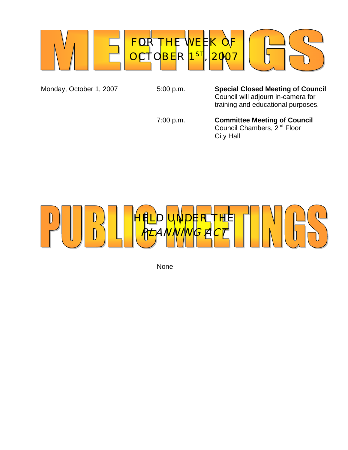

Monday, October 1, 2007 5:00 p.m. **Special Closed Meeting of Council** Council will adjourn in-camera for training and educational purposes.

 7:00 p.m. **Committee Meeting of Council**  *Council Chambers, 2<sup>nd</sup> Floor* 

City Hall



None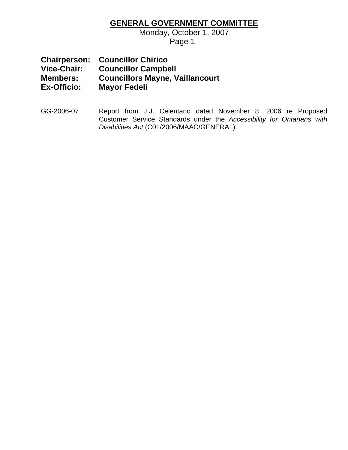## **GENERAL GOVERNMENT COMMITTEE**

Monday, October 1, 2007

Page 1

**Chairperson: Councillor Chirico Vice-Chair: Councillor Campbell Members: Councillors Mayne, Vaillancourt Mayor Fedeli** 

GG-2006-07 Report from J.J. Celentano dated November 8, 2006 re Proposed Customer Service Standards under the *Accessibility for Ontarians with Disabilities Act* (C01/2006/MAAC/GENERAL).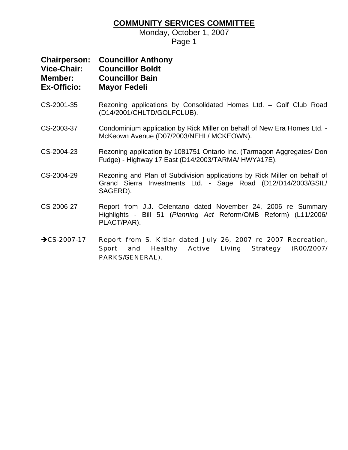## **COMMUNITY SERVICES COMMITTEE**

Monday, October 1, 2007 Page 1

| <b>Chairperson:</b><br><b>Vice-Chair:</b> | <b>Councillor Anthony</b><br><b>Councillor Boldt</b> |
|-------------------------------------------|------------------------------------------------------|
| <b>Member:</b>                            | <b>Councillor Bain</b>                               |
| <b>Ex-Officio:</b>                        | <b>Mayor Fedeli</b>                                  |

- CS-2001-35 Rezoning applications by Consolidated Homes Ltd. Golf Club Road (D14/2001/CHLTD/GOLFCLUB).
- CS-2003-37 Condominium application by Rick Miller on behalf of New Era Homes Ltd. McKeown Avenue (D07/2003/NEHL/ MCKEOWN).
- CS-2004-23 Rezoning application by 1081751 Ontario Inc. (Tarmagon Aggregates/ Don Fudge) - Highway 17 East (D14/2003/TARMA/ HWY#17E).
- CS-2004-29 Rezoning and Plan of Subdivision applications by Rick Miller on behalf of Grand Sierra Investments Ltd. - Sage Road (D12/D14/2003/GSIL/ SAGERD).
- CS-2006-27 Report from J.J. Celentano dated November 24, 2006 re Summary Highlights - Bill 51 (*Planning Act* Reform/OMB Reform) (L11/2006/ PLACT/PAR).
- →CS-2007-17 Report from S. Kitlar dated July 26, 2007 re 2007 Recreation, Sport and Healthy Active Living Strategy (R00/2007/ PARKS/GENERAL).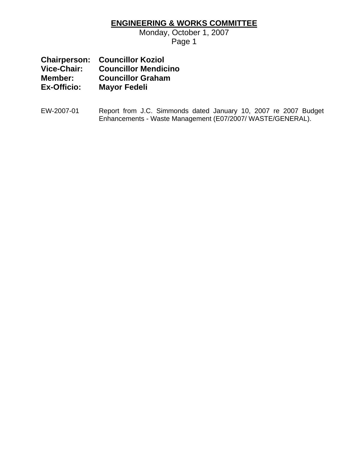## **ENGINEERING & WORKS COMMITTEE**

Monday, October 1, 2007

Page 1

|             | <b>Chairperson: Councillor Koziol</b> |
|-------------|---------------------------------------|
| Vice-Chair: | <b>Councillor Mendicino</b>           |
| Member:     | <b>Councillor Graham</b>              |
| Ex-Officio: | <b>Mayor Fedeli</b>                   |

EW-2007-01 Report from J.C. Simmonds dated January 10, 2007 re 2007 Budget Enhancements - Waste Management (E07/2007/ WASTE/GENERAL).